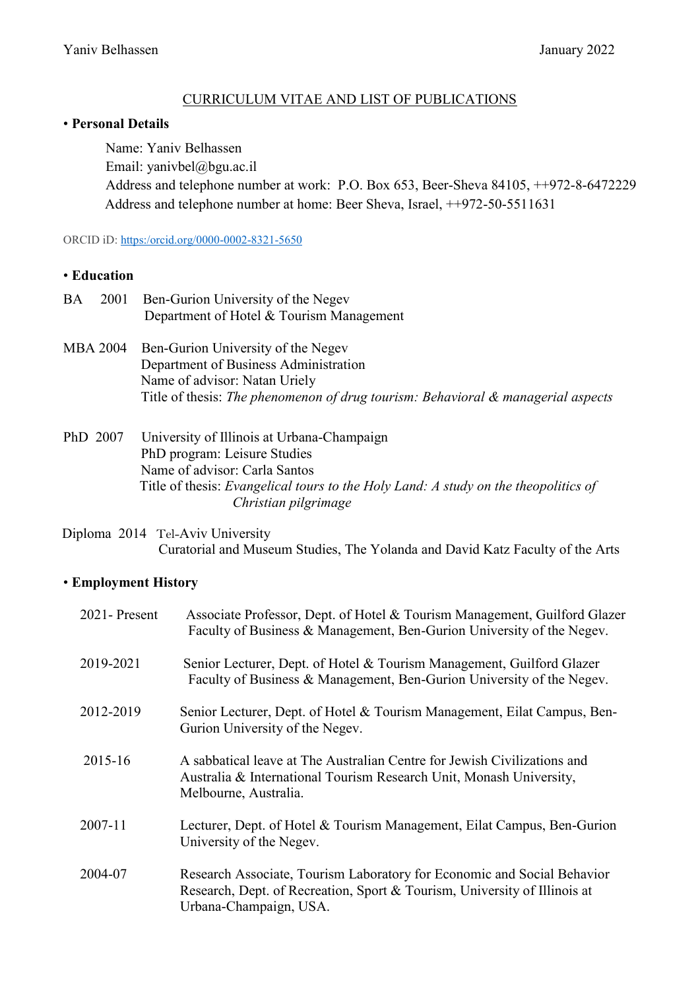#### CURRICULUM VITAE AND LIST OF PUBLICATIONS

#### • **Personal Details**

Name: Yaniv Belhassen Email: yanivbel@bgu.ac.il Address and telephone number at work: P.O. Box 653, Beer-Sheva 84105, ++972-8-6472229 Address and telephone number at home: Beer Sheva, Israel, ++972-50-5511631

ORCID iD[: https:/orcid.org/0000-0002-8321-5650](https://orcid.org/0000-0002-8321-5650) 

#### • **Education**

| <b>BA</b>       | 2001 | Ben-Gurion University of the Negev                                                  |
|-----------------|------|-------------------------------------------------------------------------------------|
|                 |      | Department of Hotel & Tourism Management                                            |
| <b>MBA 2004</b> |      | Ben-Gurion University of the Negev                                                  |
|                 |      | Department of Business Administration                                               |
|                 |      | Name of advisor: Natan Uriely                                                       |
|                 |      | Title of thesis: The phenomenon of drug tourism: Behavioral & managerial aspects    |
| PhD 2007        |      | University of Illinois at Urbana-Champaign                                          |
|                 |      | PhD program: Leisure Studies                                                        |
|                 |      | Name of advisor: Carla Santos                                                       |
|                 |      | Title of thesis: Evangelical tours to the Holy Land: A study on the theopolitics of |
|                 |      | Christian pilgrimage                                                                |

 Diploma 2014 Tel-Aviv University Curatorial and Museum Studies, The Yolanda and David Katz Faculty of the Arts

#### • **Employment History**

| 2021 - Present | Associate Professor, Dept. of Hotel & Tourism Management, Guilford Glazer<br>Faculty of Business & Management, Ben-Gurion University of the Negev.                             |
|----------------|--------------------------------------------------------------------------------------------------------------------------------------------------------------------------------|
| 2019-2021      | Senior Lecturer, Dept. of Hotel & Tourism Management, Guilford Glazer<br>Faculty of Business & Management, Ben-Gurion University of the Negev.                                 |
| 2012-2019      | Senior Lecturer, Dept. of Hotel & Tourism Management, Eilat Campus, Ben-<br>Gurion University of the Negev.                                                                    |
| 2015-16        | A sabbatical leave at The Australian Centre for Jewish Civilizations and<br>Australia & International Tourism Research Unit, Monash University,<br>Melbourne, Australia.       |
| 2007-11        | Lecturer, Dept. of Hotel & Tourism Management, Eilat Campus, Ben-Gurion<br>University of the Negev.                                                                            |
| 2004-07        | Research Associate, Tourism Laboratory for Economic and Social Behavior<br>Research, Dept. of Recreation, Sport & Tourism, University of Illinois at<br>Urbana-Champaign, USA. |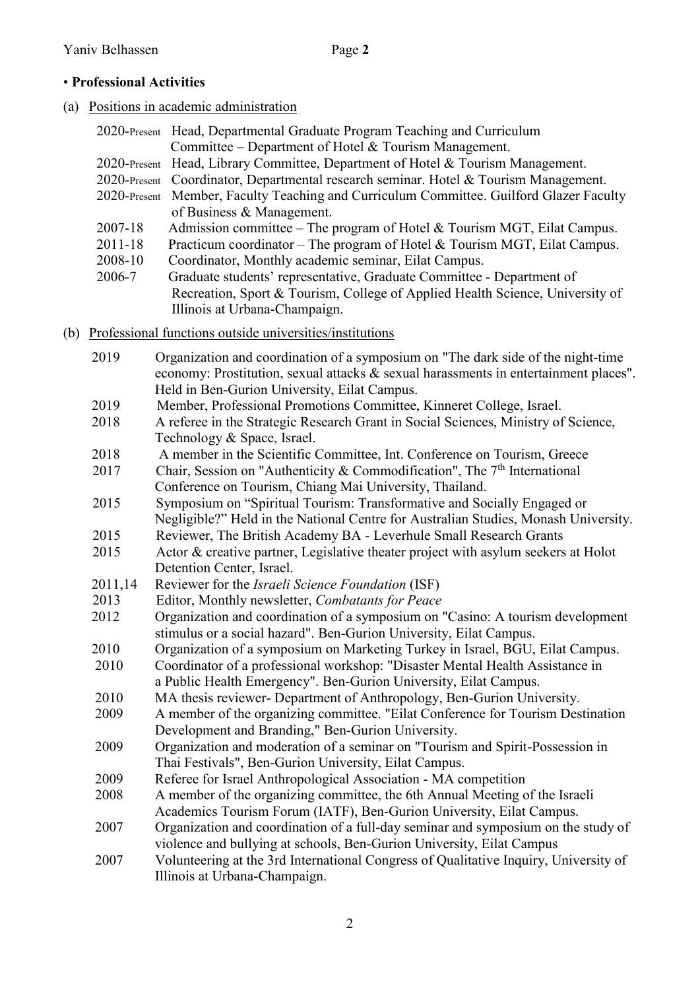# • **Professional Activities**

(a) Positions in academic administration

|         | 2020-Present Head, Departmental Graduate Program Teaching and Curriculum                |
|---------|-----------------------------------------------------------------------------------------|
|         | Committee – Department of Hotel & Tourism Management.                                   |
|         | 2020-Present Head, Library Committee, Department of Hotel & Tourism Management.         |
|         | 2020-Present Coordinator, Departmental research seminar. Hotel & Tourism Management.    |
|         | 2020-Present Member, Faculty Teaching and Curriculum Committee. Guilford Glazer Faculty |
|         | of Business & Management.                                                               |
| 2007-18 | Admission committee – The program of Hotel $&$ Tourism MGT, Eilat Campus.               |
| 2011-18 | Practicum coordinator – The program of Hotel & Tourism MGT, Eilat Campus.               |
| 2008-10 | Coordinator, Monthly academic seminar, Eilat Campus.                                    |
| 2006-7  | Graduate students' representative, Graduate Committee - Department of                   |
|         | Recreation, Sport & Tourism, College of Applied Health Science, University of           |
|         | Illinois at Urbana-Champaign.                                                           |
|         | (b) Professional functions outside universities/institutions                            |
| 2019    | Organization and coordination of a symposium on "The dark side of the night-time"       |
|         | economy: Prostitution, sexual attacks & sexual harassments in entertainment places".    |
|         | Held in Ben-Gurion University, Eilat Campus.                                            |
| 2019    | Member, Professional Promotions Committee, Kinneret College, Israel.                    |
| 2018    | A referee in the Strategic Research Grant in Social Sciences, Ministry of Science,      |
|         | Technology & Space, Israel.                                                             |
| 2018    | A member in the Scientific Committee, Int. Conference on Tourism, Greece                |
| 2017    | Chair, Session on "Authenticity & Commodification", The $7th$ International             |
|         | Conference on Tourism, Chiang Mai University, Thailand.                                 |
| 2015    | Symposium on "Spiritual Tourism: Transformative and Socially Engaged or                 |
|         | Negligible?" Held in the National Centre for Australian Studies, Monash University.     |
| 2015    | Reviewer, The British Academy BA - Leverhule Small Research Grants                      |
| 2015    | Actor & creative partner, Legislative theater project with asylum seekers at Holot      |
|         | Detention Center, Israel.                                                               |
| 2011,14 | Reviewer for the <i>Israeli Science Foundation</i> (ISF)                                |
| 2013    | Editor, Monthly newsletter, Combatants for Peace                                        |
| 2012    | Organization and coordination of a symposium on "Casino: A tourism development          |
|         | stimulus or a social hazard". Ben-Gurion University, Eilat Campus.                      |
| 2010    | Organization of a symposium on Marketing Turkey in Israel, BGU, Eilat Campus            |
| 2010    | Coordinator of a professional workshop: "Disaster Mental Health Assistance in           |
|         | a Public Health Emergency". Ben-Gurion University, Eilat Campus.                        |
| 2010    | MA thesis reviewer- Department of Anthropology, Ben-Gurion University.                  |
| 2009    | A member of the organizing committee. "Eilat Conference for Tourism Destination"        |
|         | Development and Branding," Ben-Gurion University.                                       |
| 2009    | Organization and moderation of a seminar on "Tourism and Spirit-Possession in           |
|         | Thai Festivals", Ben-Gurion University, Eilat Campus.                                   |
| 2009    | Referee for Israel Anthropological Association - MA competition                         |
| 2008    | A member of the organizing committee, the 6th Annual Meeting of the Israeli             |
|         | Academics Tourism Forum (IATF), Ben-Gurion University, Eilat Campus.                    |
| 2007    | Organization and coordination of a full-day seminar and symposium on the study of       |
|         | violence and bullying at schools, Ben-Gurion University, Eilat Campus                   |
| 2007    | Volunteering at the 3rd International Congress of Qualitative Inquiry, University of    |
|         | Illinois at Urbana-Champaign.                                                           |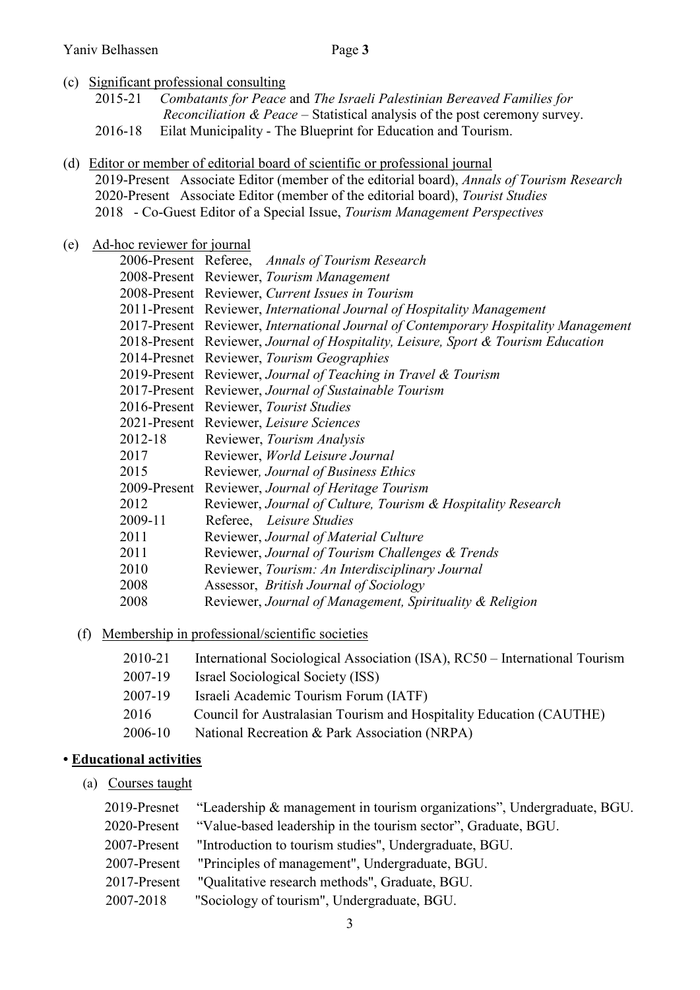- (c) Significant professional consulting
	- 2015-21 *Combatants for Peace* and *The Israeli Palestinian Bereaved Families for Reconciliation & Peace* – Statistical analysis of the post ceremony survey. 2016-18 Eilat Municipality - The Blueprint for Education and Tourism.
- (d) Editor or member of editorial board of scientific or professional journal 2019-Present Associate Editor (member of the editorial board), *Annals of Tourism Research* 2020-Present Associate Editor (member of the editorial board), *Tourist Studies* 2018 - Co-Guest Editor of a Special Issue, *Tourism Management Perspectives*
- (e) Ad-hoc reviewer for journal

|         | 2006-Present Referee, Annals of Tourism Research                                    |
|---------|-------------------------------------------------------------------------------------|
|         | 2008-Present Reviewer, Tourism Management                                           |
|         | 2008-Present Reviewer, Current Issues in Tourism                                    |
|         | 2011-Present Reviewer, International Journal of Hospitality Management              |
|         | 2017-Present Reviewer, International Journal of Contemporary Hospitality Management |
|         | 2018-Present Reviewer, Journal of Hospitality, Leisure, Sport & Tourism Education   |
|         | 2014-Presnet Reviewer, Tourism Geographies                                          |
|         | 2019-Present Reviewer, Journal of Teaching in Travel & Tourism                      |
|         | 2017-Present Reviewer, Journal of Sustainable Tourism                               |
|         | 2016-Present Reviewer, Tourist Studies                                              |
|         | 2021-Present Reviewer, Leisure Sciences                                             |
| 2012-18 | Reviewer, Tourism Analysis                                                          |
| 2017    | Reviewer, World Leisure Journal                                                     |
| 2015    | Reviewer, Journal of Business Ethics                                                |
|         | 2009-Present Reviewer, Journal of Heritage Tourism                                  |
| 2012    | Reviewer, Journal of Culture, Tourism & Hospitality Research                        |
| 2009-11 | Referee, Leisure Studies                                                            |
| 2011    | Reviewer, Journal of Material Culture                                               |
| 2011    | Reviewer, Journal of Tourism Challenges & Trends                                    |
| 2010    | Reviewer, Tourism: An Interdisciplinary Journal                                     |
| 2008    | Assessor, British Journal of Sociology                                              |
| 2008    | Reviewer, Journal of Management, Spirituality & Religion                            |

(f) Membership in professional/scientific societies

| 2010-21 | International Sociological Association (ISA), RC50 – International Tourism |
|---------|----------------------------------------------------------------------------|
| 2007-19 | Israel Sociological Society (ISS)                                          |
| 2007-19 | Israeli Academic Tourism Forum (IATF)                                      |
| 2016    | Council for Australasian Tourism and Hospitality Education (CAUTHE)        |
| 2006-10 | National Recreation & Park Association (NRPA)                              |

#### **• Educational activities**

(a) Courses taught

|              | 2019-Presnet "Leadership & management in tourism organizations", Undergraduate, BGU. |
|--------------|--------------------------------------------------------------------------------------|
|              | 2020-Present "Value-based leadership in the tourism sector", Graduate, BGU.          |
|              | 2007-Present "Introduction to tourism studies", Undergraduate, BGU.                  |
| 2007-Present | "Principles of management", Undergraduate, BGU.                                      |
| 2017-Present | "Qualitative research methods", Graduate, BGU.                                       |
| 2007-2018    | "Sociology of tourism", Undergraduate, BGU.                                          |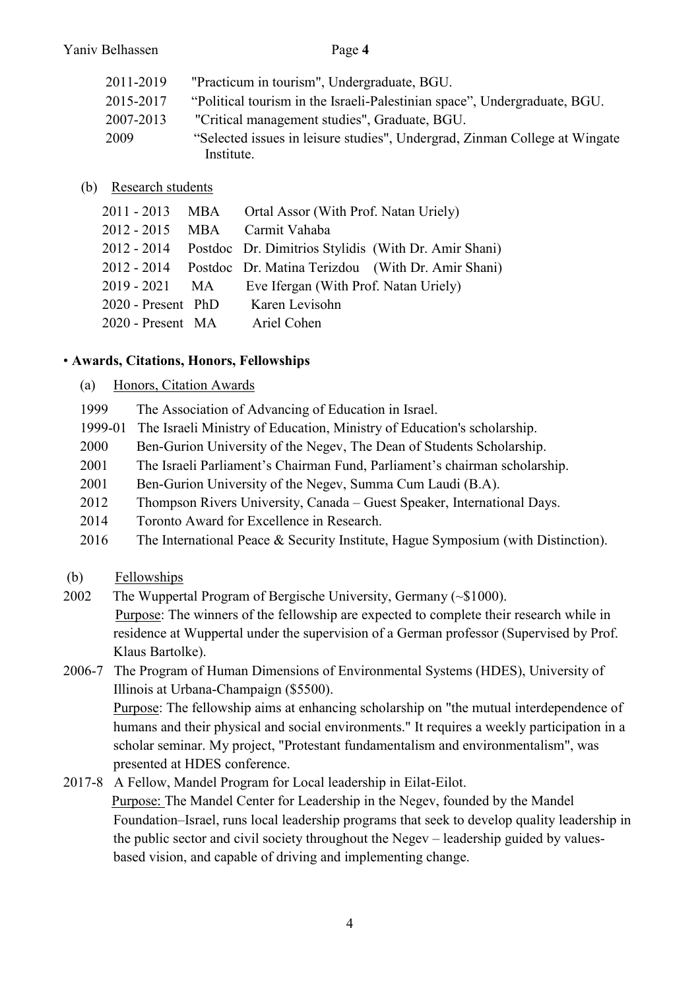| 2011-2019 | "Practicum in tourism", Undergraduate, BGU.                                              |
|-----------|------------------------------------------------------------------------------------------|
| 2015-2017 | "Political tourism in the Israeli-Palestinian space", Undergraduate, BGU.                |
| 2007-2013 | "Critical management studies", Graduate, BGU.                                            |
| 2009      | "Selected issues in leisure studies", Undergrad, Zinman College at Wingate<br>Institute. |

## (b) Research students

|                    | 2011 - 2013 MBA Ortal Assor (With Prof. Natan Uriely) |                                                                  |
|--------------------|-------------------------------------------------------|------------------------------------------------------------------|
|                    | 2012 - 2015 MBA Carmit Vahaba                         |                                                                  |
|                    |                                                       | 2012 - 2014 Postdoc Dr. Dimitrios Stylidis (With Dr. Amir Shani) |
|                    |                                                       | 2012 - 2014 Postdoc Dr. Matina Terizdou (With Dr. Amir Shani)    |
| $2019 - 2021$ MA   | Eve Ifergan (With Prof. Natan Uriely)                 |                                                                  |
| 2020 - Present PhD | Karen Levisohn                                        |                                                                  |
| 2020 - Present MA  | Ariel Cohen                                           |                                                                  |

### • **Awards, Citations, Honors, Fellowships**

#### (a) Honors, Citation Awards

- 1999 The Association of Advancing of Education in Israel.
- 1999-01 The Israeli Ministry of Education, Ministry of Education's scholarship.
- 2000 Ben-Gurion University of the Negev, The Dean of Students Scholarship.
- 2001 The Israeli Parliament's Chairman Fund, Parliament's chairman scholarship.
- 2001 Ben-Gurion University of the Negev, Summa Cum Laudi (B.A).
- 2012 Thompson Rivers University, Canada Guest Speaker, International Days.
- 2014 Toronto Award for Excellence in Research.
- 2016 The International Peace & Security Institute, Hague Symposium (with Distinction).
- (b) Fellowships
- 2002 The Wuppertal Program of Bergische University, Germany (~\$1000). Purpose: The winners of the fellowship are expected to complete their research while in residence at Wuppertal under the supervision of a German professor (Supervised by Prof. Klaus Bartolke).
- 2006-7 The Program of Human Dimensions of Environmental Systems (HDES), University of Illinois at Urbana-Champaign (\$5500). Purpose: The fellowship aims at enhancing scholarship on "the mutual interdependence of humans and their physical and social environments." It requires a weekly participation in a scholar seminar. My project, "Protestant fundamentalism and environmentalism", was presented at HDES conference.
- 2017-8 A Fellow, Mandel Program for Local leadership in Eilat-Eilot. Purpose: The Mandel Center for Leadership in the Negev, founded by the Mandel Foundation–Israel, runs local leadership programs that seek to develop quality leadership in the public sector and civil society throughout the Negev – leadership guided by valuesbased vision, and capable of driving and implementing change.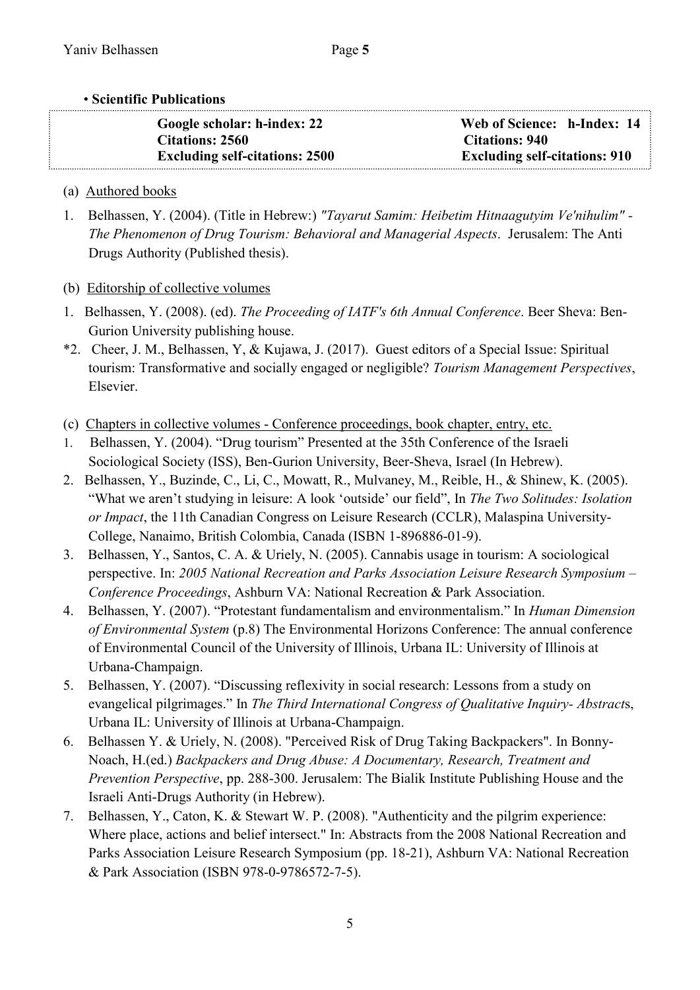## • **Scientific Publications**

| Google scholar: h-index: 22           | Web of Science: h-Index: 14          |
|---------------------------------------|--------------------------------------|
| <b>Citations: 2560</b>                | <b>Citations: 940</b>                |
| <b>Excluding self-citations: 2500</b> | <b>Excluding self-citations: 910</b> |

# (a) Authored books

- 1. Belhassen, Y. (2004). (Title in Hebrew:) *"Tayarut Samim: Heibetim Hitnaagutyim Ve'nihulim" - The Phenomenon of Drug Tourism: Behavioral and Managerial Aspects*. Jerusalem: The Anti Drugs Authority (Published thesis).
- (b) Editorship of collective volumes
- 1. Belhassen, Y. (2008). (ed). *The Proceeding of IATF's 6th Annual Conference*. Beer Sheva: Ben-Gurion University publishing house.
- \*2. Cheer, J. M., Belhassen, Y, & Kujawa, J. (2017). Guest editors of a Special Issue: Spiritual tourism: Transformative and socially engaged or negligible? *Tourism Management Perspectives*, Elsevier.
- (c) Chapters in collective volumes Conference proceedings, book chapter, entry, etc.
- 1. Belhassen, Y. (2004). "Drug tourism" Presented at the 35th Conference of the Israeli Sociological Society (ISS), Ben-Gurion University, Beer-Sheva, Israel (In Hebrew).
- 2. Belhassen, Y., Buzinde, C., Li, C., Mowatt, R., Mulvaney, M., Reible, H., & Shinew, K. (2005). "What we aren't studying in leisure: A look 'outside' our field", In *The Two Solitudes: Isolation or Impact*, the 11th Canadian Congress on Leisure Research (CCLR), Malaspina University-College, Nanaimo, British Colombia, Canada (ISBN 1-896886-01-9).
- 3. Belhassen, Y., Santos, C. A. & Uriely, N. (2005). Cannabis usage in tourism: A sociological perspective. In: *2005 National Recreation and Parks Association Leisure Research Symposium – Conference Proceedings*, Ashburn VA: National Recreation & Park Association.
- 4. Belhassen, Y. (2007). "Protestant fundamentalism and environmentalism." In *Human Dimension of Environmental System* (p.8) The Environmental Horizons Conference: The annual conference of Environmental Council of the University of Illinois, Urbana IL: University of Illinois at Urbana-Champaign.
- 5. Belhassen, Y. (2007). "Discussing reflexivity in social research: Lessons from a study on evangelical pilgrimages." In *The Third International Congress of Qualitative Inquiry- Abstract*s, Urbana IL: University of Illinois at Urbana-Champaign.
- 6. Belhassen Y. & Uriely, N. (2008). "Perceived Risk of Drug Taking Backpackers". In Bonny-Noach, H.(ed.) *Backpackers and Drug Abuse: A Documentary, Research, Treatment and Prevention Perspective*, pp. 288-300. Jerusalem: The Bialik Institute Publishing House and the Israeli Anti-Drugs Authority (in Hebrew).
- 7. Belhassen, Y., Caton, K. & Stewart W. P. (2008). "Authenticity and the pilgrim experience: Where place, actions and belief intersect." In: Abstracts from the 2008 National Recreation and Parks Association Leisure Research Symposium (pp. 18-21), Ashburn VA: National Recreation & Park Association (ISBN 978-0-9786572-7-5).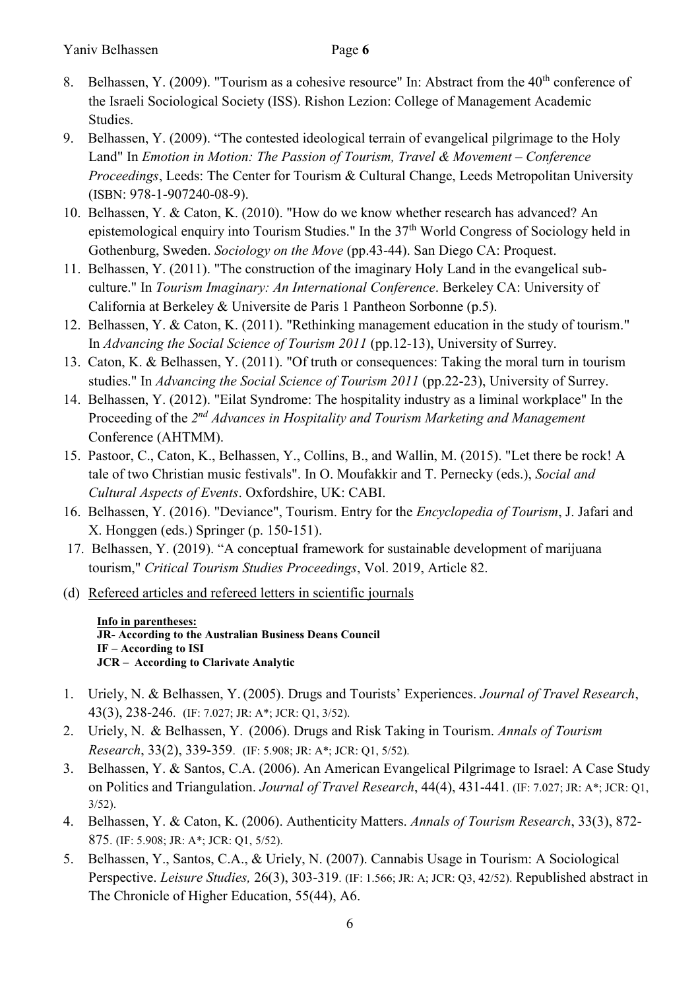- 8. Belhassen, Y. (2009). "Tourism as a cohesive resource" In: Abstract from the 40<sup>th</sup> conference of the Israeli Sociological Society (ISS). Rishon Lezion: College of Management Academic Studies.
- 9. Belhassen, Y. (2009). "The contested ideological terrain of evangelical pilgrimage to the Holy Land" In *Emotion in Motion: The Passion of Tourism, Travel & Movement – Conference Proceedings*, Leeds: The Center for Tourism & Cultural Change, Leeds Metropolitan University (ISBN: 978-1-907240-08-9).
- 10. Belhassen, Y. & Caton, K. (2010). "How do we know whether research has advanced? An epistemological enquiry into Tourism Studies." In the 37<sup>th</sup> World Congress of Sociology held in Gothenburg, Sweden. *Sociology on the Move* (pp.43-44). San Diego CA: Proquest.
- 11. Belhassen, Y. (2011). "The construction of the imaginary Holy Land in the evangelical subculture." In *Tourism Imaginary: An International Conference*. Berkeley CA: University of California at Berkeley & Universite de Paris 1 Pantheon Sorbonne (p.5).
- 12. Belhassen, Y. & Caton, K. (2011). "Rethinking management education in the study of tourism." In *Advancing the Social Science of Tourism 2011* (pp.12-13), University of Surrey.
- 13. Caton, K. & Belhassen, Y. (2011). "Of truth or consequences: Taking the moral turn in tourism studies." In *Advancing the Social Science of Tourism 2011* (pp.22-23), University of Surrey.
- 14. Belhassen, Y. (2012). "Eilat Syndrome: The hospitality industry as a liminal workplace" In the Proceeding of the 2<sup>nd</sup> Advances in Hospitality and Tourism Marketing and Management Conference (AHTMM).
- 15. Pastoor, C., Caton, K., Belhassen, Y., Collins, B., and Wallin, M. (2015). "Let there be rock! A tale of two Christian music festivals". In O. Moufakkir and T. Pernecky (eds.), *Social and Cultural Aspects of Events*. Oxfordshire, UK: CABI.
- 16. Belhassen, Y. (2016). "Deviance", Tourism. Entry for the *Encyclopedia of Tourism*, J. Jafari and X. Honggen (eds.) Springer (p. 150-151).
- 17. Belhassen, Y. (2019). "A conceptual framework for sustainable development of marijuana tourism," *Critical Tourism Studies Proceedings*, Vol. 2019, Article 82.
- (d) Refereed articles and refereed letters in scientific journals

**Info in parentheses: JR- According to the Australian Business Deans Council IF – According to ISI JCR – According to Clarivate Analytic** 

- 1. Uriely, N. & Belhassen, Y. (2005). Drugs and Tourists' Experiences. *Journal of Travel Research*, 43(3), 238-246. (IF: 7.027; JR: A\*; JCR: Q1, 3/52).
- 2. Uriely, N. & Belhassen, Y. (2006). Drugs and Risk Taking in Tourism. *Annals of Tourism Research*, 33(2), 339-359. (IF: 5.908; JR: A\*; JCR: Q1, 5/52).
- 3. Belhassen, Y. & Santos, C.A. (2006). An American Evangelical Pilgrimage to Israel: A Case Study on Politics and Triangulation. *Journal of Travel Research*, 44(4), 431-441. (IF: 7.027; JR: A\*; JCR: Q1, 3/52).
- 4. Belhassen, Y. & Caton, K. (2006). Authenticity Matters. *Annals of Tourism Research*, 33(3), 872- 875. (IF: 5.908; JR: A\*; JCR: Q1, 5/52).
- 5. Belhassen, Y., Santos, C.A., & Uriely, N. (2007). Cannabis Usage in Tourism: A Sociological Perspective. *Leisure Studies,* 26(3), 303-319. (IF: 1.566; JR: A; JCR: Q3, 42/52). Republished abstract in The Chronicle of Higher Education, 55(44), A6.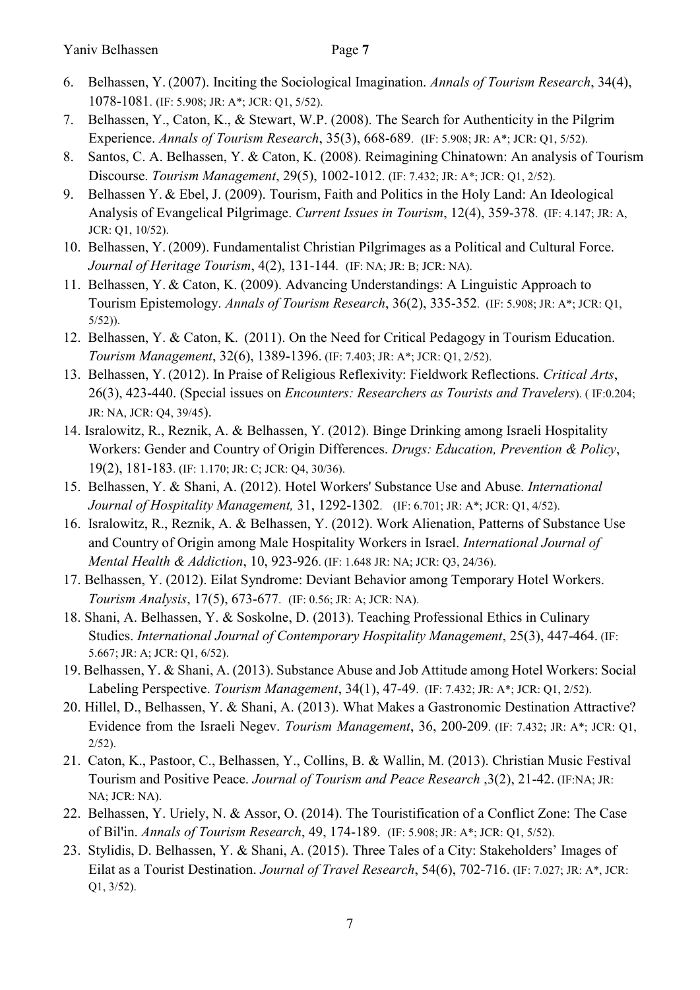- 6. Belhassen, Y. (2007). Inciting the Sociological Imagination. *Annals of Tourism Research*, 34(4), 1078-1081. (IF: 5.908; JR: A\*; JCR: Q1, 5/52).
- 7. Belhassen, Y., Caton, K., & Stewart, W.P. (2008). The Search for Authenticity in the Pilgrim Experience. *Annals of Tourism Research*, 35(3), 668-689. (IF: 5.908; JR: A\*; JCR: Q1, 5/52).
- 8. Santos, C. A. Belhassen, Y. & Caton, K. (2008). Reimagining Chinatown: An analysis of Tourism Discourse. *Tourism Management*, 29(5), 1002-1012. (IF: 7.432; JR: A\*; JCR: Q1, 2/52).
- 9. Belhassen Y. & Ebel, J. (2009). Tourism, Faith and Politics in the Holy Land: An Ideological Analysis of Evangelical Pilgrimage. *Current Issues in Tourism*, 12(4), 359-378. (IF: 4.147; JR: A, JCR: Q1, 10/52).
- 10. Belhassen, Y. (2009). Fundamentalist Christian Pilgrimages as a Political and Cultural Force. *Journal of Heritage Tourism*, 4(2), 131-144. (IF: NA; JR: B; JCR: NA).
- 11. Belhassen, Y. & Caton, K. (2009). Advancing Understandings: A Linguistic Approach to Tourism Epistemology. *Annals of Tourism Research*, 36(2), 335-352. (IF: 5.908; JR: A\*; JCR: Q1, 5/52)).
- 12. Belhassen, Y. & Caton, K. (2011). On the Need for Critical Pedagogy in Tourism Education. *Tourism Management*, 32(6), 1389-1396. (IF: 7.403; JR: A\*; JCR: Q1, 2/52).
- 13. Belhassen, Y. (2012). In Praise of Religious Reflexivity: Fieldwork Reflections. *Critical Arts*, 26(3), 423-440. (Special issues on *Encounters: Researchers as Tourists and Travelers*). ( IF:0.204; JR: NA, JCR: Q4, 39/45).
- 14. Isralowitz, R., Reznik, A. & Belhassen, Y. (2012). Binge Drinking among Israeli Hospitality Workers: Gender and Country of Origin Differences. *Drugs: Education, Prevention & Policy*, 19(2), 181-183. (IF: 1.170; JR: C; JCR: Q4, 30/36).
- 15. Belhassen, Y. & Shani, A. (2012). Hotel Workers' Substance Use and Abuse. *International Journal of Hospitality Management,* 31, 1292-1302. (IF: 6.701; JR: A\*; JCR: Q1, 4/52).
- 16. Isralowitz, R., Reznik, A. & Belhassen, Y. (2012). Work Alienation, Patterns of Substance Use and Country of Origin among Male Hospitality Workers in Israel. *International Journal of Mental Health & Addiction*, 10, 923-926. (IF: 1.648 JR: NA; JCR: Q3, 24/36).
- 17. Belhassen, Y. (2012). Eilat Syndrome: Deviant Behavior among Temporary Hotel Workers. *Tourism Analysis*, 17(5), 673-677. (IF: 0.56; JR: A; JCR: NA).
- 18. Shani, A. Belhassen, Y. & Soskolne, D. (2013). Teaching Professional Ethics in Culinary Studies. *International Journal of Contemporary Hospitality Management*, 25(3), 447-464. (IF: 5.667; JR: A; JCR: Q1, 6/52).
- 19. Belhassen, Y. & Shani, A. (2013). Substance Abuse and Job Attitude among Hotel Workers: Social Labeling Perspective. *Tourism Management*, 34(1), 47-49. (IF: 7.432; JR: A\*; JCR: Q1, 2/52).
- 20. Hillel, D., Belhassen, Y. & Shani, A. (2013). What Makes a Gastronomic Destination Attractive? Evidence from the Israeli Negev. *Tourism Management*, 36, 200-209. (IF: 7.432; JR: A\*; JCR: Q1,  $2/52$ ).
- 21. Caton, K., Pastoor, C., Belhassen, Y., Collins, B. & Wallin, M. (2013). Christian Music Festival Tourism and Positive Peace. *Journal of Tourism and Peace Research* ,3(2), 21-42. (IF:NA; JR: NA; JCR: NA).
- 22. Belhassen, Y. Uriely, N. & Assor, O. (2014). The Touristification of a Conflict Zone: The Case of Bil'in. *Annals of Tourism Research*, 49, 174-189. (IF: 5.908; JR: A\*; JCR: Q1, 5/52).
- 23. Stylidis, D. Belhassen, Y. & Shani, A. (2015). Three Tales of a City: Stakeholders' Images of Eilat as a Tourist Destination. *Journal of Travel Research*, 54(6), 702-716. (IF: 7.027; JR: A\*, JCR: Q1, 3/52).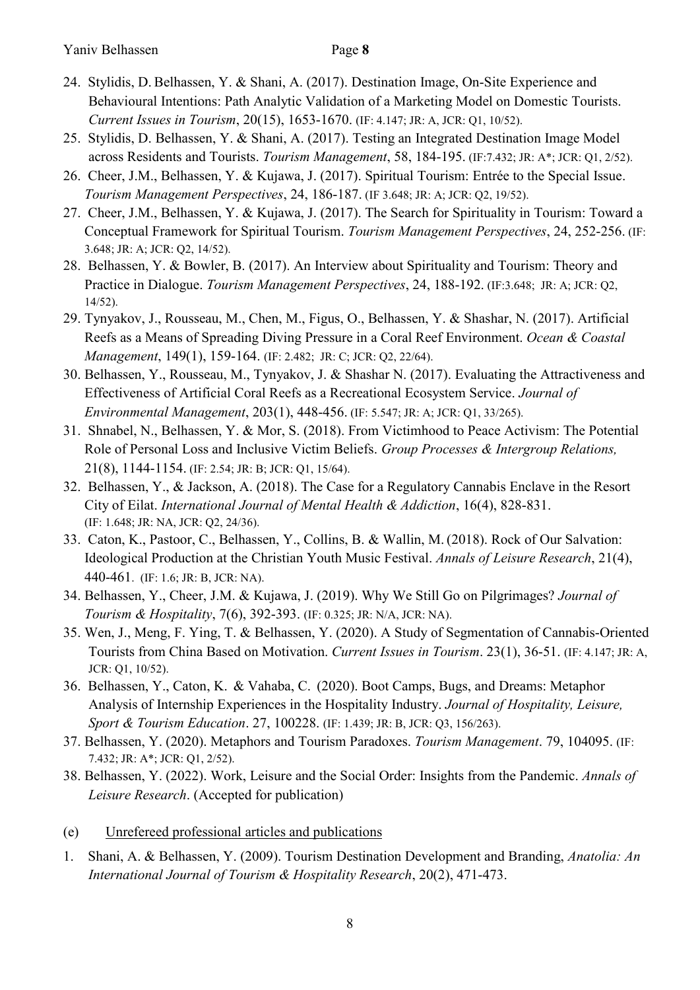- 24. Stylidis, D. Belhassen, Y. & Shani, A. (2017). Destination Image, On-Site Experience and Behavioural Intentions: Path Analytic Validation of a Marketing Model on Domestic Tourists. *Current Issues in Tourism*, 20(15), 1653-1670. (IF: 4.147; JR: A, JCR: Q1, 10/52).
- 25. Stylidis, D. Belhassen, Y. & Shani, A. (2017). Testing an Integrated Destination Image Model across Residents and Tourists. *Tourism Management*, 58, 184-195. (IF:7.432; JR: A\*; JCR: Q1, 2/52).
- 26. Cheer, J.M., Belhassen, Y. & Kujawa, J. (2017). Spiritual Tourism: Entrée to the Special Issue. *Tourism Management Perspectives*, 24, 186-187. (IF 3.648; JR: A; JCR: Q2, 19/52).
- 27. Cheer, J.M., Belhassen, Y. & Kujawa, J. (2017). The Search for Spirituality in Tourism: Toward a Conceptual Framework for Spiritual Tourism. *Tourism Management Perspectives*, 24, 252-256. (IF: 3.648; JR: A; JCR: Q2, 14/52).
- 28. Belhassen, Y. & Bowler, B. (2017). An Interview about Spirituality and Tourism: Theory and Practice in Dialogue. *Tourism Management Perspectives*, 24, 188-192. (IF:3.648; JR: A; JCR: Q2, 14/52).
- 29. Tynyakov, J., Rousseau, M., Chen, M., Figus, O., Belhassen, Y. & Shashar, N. (2017). Artificial Reefs as a Means of Spreading Diving Pressure in a Coral Reef Environment. *Ocean & Coastal Management*, 149(1), 159-164. (IF: 2.482; JR: C; JCR: Q2, 22/64).
- 30. Belhassen, Y., Rousseau, M., Tynyakov, J. & Shashar N. (2017). Evaluating the Attractiveness and Effectiveness of Artificial Coral Reefs as a Recreational Ecosystem Service. *Journal of Environmental Management*, 203(1), 448-456. (IF: 5.547; JR: A; JCR: Q1, 33/265).
- 31. Shnabel, N., Belhassen, Y. & Mor, S. (2018). From Victimhood to Peace Activism: The Potential Role of Personal Loss and Inclusive Victim Beliefs. *Group Processes & Intergroup Relations,*  21(8), 1144-1154. (IF: 2.54; JR: B; JCR: Q1, 15/64).
- 32. Belhassen, Y., & Jackson, A. (2018). The Case for a Regulatory Cannabis Enclave in the Resort City of Eilat. *International Journal of Mental Health & Addiction*, 16(4), 828-831. (IF: 1.648; JR: NA, JCR: Q2, 24/36).
- 33. Caton, K., Pastoor, C., Belhassen, Y., Collins, B. & Wallin, M. (2018). Rock of Our Salvation: Ideological Production at the Christian Youth Music Festival. *Annals of Leisure Research*, 21(4), 440-461. (IF: 1.6; JR: B, JCR: NA).
- 34. Belhassen, Y., Cheer, J.M. & Kujawa, J. (2019). Why We Still Go on Pilgrimages? *Journal of Tourism & Hospitality*, 7(6), 392-393. (IF: 0.325; JR: N/A, JCR: NA).
- 35. Wen, J., Meng, F. Ying, T. & Belhassen, Y. (2020). A Study of Segmentation of Cannabis-Oriented Tourists from China Based on Motivation. *Current Issues in Tourism*. 23(1), 36-51. (IF: 4.147; JR: A, JCR: Q1, 10/52).
- 36. Belhassen, Y., Caton, K. & Vahaba, C. (2020). Boot Camps, Bugs, and Dreams: Metaphor Analysis of Internship Experiences in the Hospitality Industry. *Journal of Hospitality, Leisure, Sport & Tourism Education*. 27, 100228. (IF: 1.439; JR: B, JCR: Q3, 156/263).
- 37. Belhassen, Y. (2020). Metaphors and Tourism Paradoxes. *Tourism Management*. 79, 104095. (IF: 7.432; JR: A\*; JCR: Q1, 2/52).
- 38. Belhassen, Y. (2022). Work, Leisure and the Social Order: Insights from the Pandemic. *Annals of Leisure Research*. (Accepted for publication)
- (e) Unrefereed professional articles and publications
- 1. Shani, A. & Belhassen, Y. (2009). Tourism Destination Development and Branding, *Anatolia: An International Journal of Tourism & Hospitality Research*, 20(2), 471-473.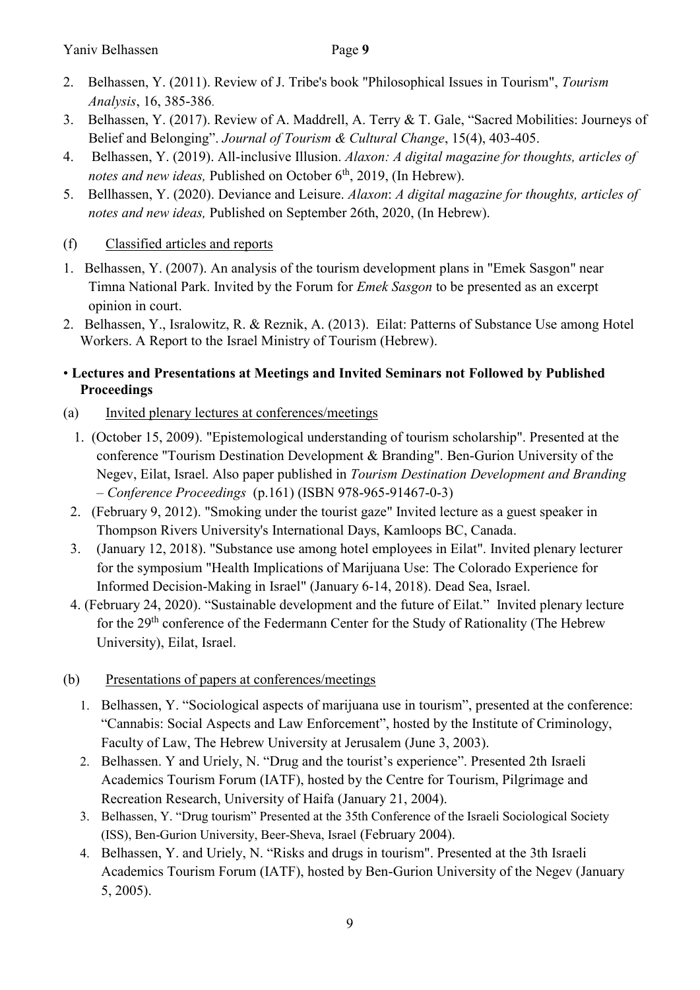- 2. Belhassen, Y. (2011). Review of J. Tribe's book "Philosophical Issues in Tourism", *Tourism Analysis*, 16, 385-386.
- 3. Belhassen, Y. (2017). Review of A. Maddrell, A. Terry & T. Gale, "Sacred Mobilities: Journeys of Belief and Belonging". *Journal of Tourism & Cultural Change*, 15(4), 403-405.
- 4. Belhassen, Y. (2019). All-inclusive Illusion. *Alaxon: A digital magazine for thoughts, articles of*  notes and new ideas, Published on October 6<sup>th</sup>, 2019, (In Hebrew).
- 5. Bellhassen, Y. (2020). Deviance and Leisure. *Alaxon*: *A digital magazine for thoughts, articles of notes and new ideas,* Published on September 26th, 2020, (In Hebrew).

# (f) Classified articles and reports

- 1. Belhassen, Y. (2007). An analysis of the tourism development plans in "Emek Sasgon" near Timna National Park. Invited by the Forum for *Emek Sasgon* to be presented as an excerpt opinion in court.
- 2. Belhassen, Y., Isralowitz, R. & Reznik, A. (2013). Eilat: Patterns of Substance Use among Hotel Workers. A Report to the Israel Ministry of Tourism (Hebrew).

# • **Lectures and Presentations at Meetings and Invited Seminars not Followed by Published Proceedings**

- (a) Invited plenary lectures at conferences/meetings
	- 1. (October 15, 2009). "Epistemological understanding of tourism scholarship". Presented at the conference "Tourism Destination Development & Branding". Ben-Gurion University of the Negev, Eilat, Israel. Also paper published in *Tourism Destination Development and Branding – Conference Proceedings* (p.161) (ISBN 978-965-91467-0-3)
- 2. (February 9, 2012). "Smoking under the tourist gaze" Invited lecture as a guest speaker in Thompson Rivers University's International Days, Kamloops BC, Canada.
- 3. (January 12, 2018). "Substance use among hotel employees in Eilat". Invited plenary lecturer for the symposium "Health Implications of Marijuana Use: The Colorado Experience for Informed Decision-Making in Israel" (January 6-14, 2018). Dead Sea, Israel.
- 4. (February 24, 2020). "Sustainable development and the future of Eilat." Invited plenary lecture for the 29th conference of the Federmann Center for the Study of Rationality (The Hebrew University), Eilat, Israel.
- (b) Presentations of papers at conferences/meetings
	- 1. Belhassen, Y. "Sociological aspects of marijuana use in tourism", presented at the conference: "Cannabis: Social Aspects and Law Enforcement", hosted by the Institute of Criminology, Faculty of Law, The Hebrew University at Jerusalem (June 3, 2003).
	- 2. Belhassen. Y and Uriely, N. "Drug and the tourist's experience". Presented 2th Israeli Academics Tourism Forum (IATF), hosted by the Centre for Tourism, Pilgrimage and Recreation Research, University of Haifa (January 21, 2004).
	- 3. Belhassen, Y. "Drug tourism" Presented at the 35th Conference of the Israeli Sociological Society (ISS), Ben-Gurion University, Beer-Sheva, Israel (February 2004).
	- 4. Belhassen, Y. and Uriely, N. "Risks and drugs in tourism". Presented at the 3th Israeli Academics Tourism Forum (IATF), hosted by Ben-Gurion University of the Negev (January 5, 2005).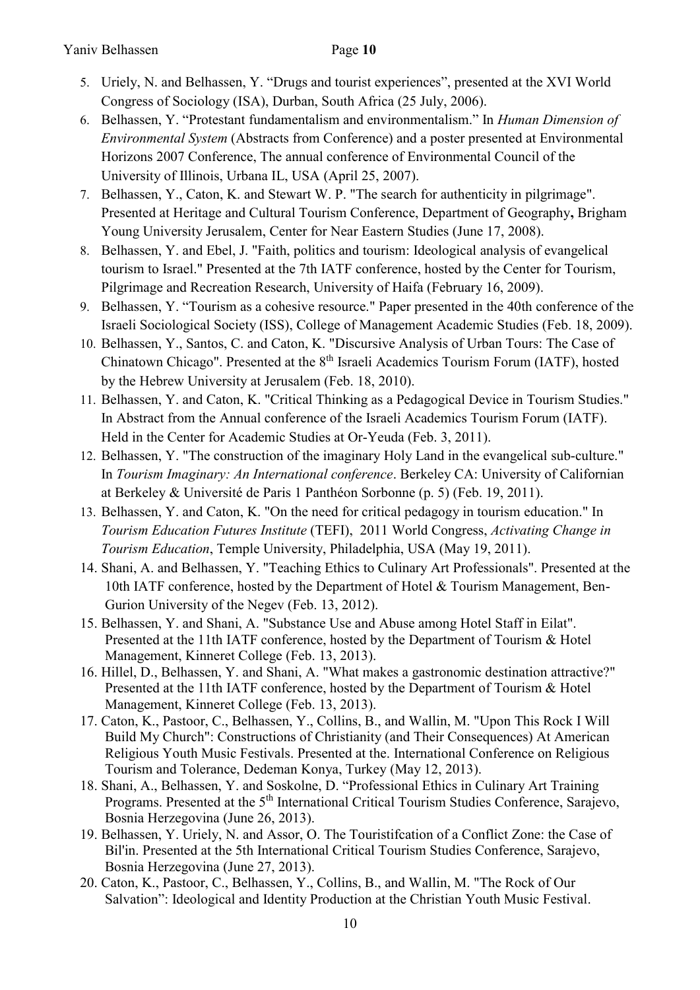- 5. Uriely, N. and Belhassen, Y. "Drugs and tourist experiences", presented at the XVI World Congress of Sociology (ISA), Durban, South Africa (25 July, 2006).
- 6. Belhassen, Y. "Protestant fundamentalism and environmentalism." In *Human Dimension of Environmental System* (Abstracts from Conference) and a poster presented at Environmental Horizons 2007 Conference, The annual conference of Environmental Council of the University of Illinois, Urbana IL, USA (April 25, 2007).
- 7. Belhassen, Y., Caton, K. and Stewart W. P. "The search for authenticity in pilgrimage". Presented at Heritage and Cultural Tourism Conference, Department of Geography**,** Brigham Young University Jerusalem, Center for Near Eastern Studies (June 17, 2008).
- 8. Belhassen, Y. and Ebel, J. "Faith, politics and tourism: Ideological analysis of evangelical tourism to Israel." Presented at the 7th IATF conference, hosted by the Center for Tourism, Pilgrimage and Recreation Research, University of Haifa (February 16, 2009).
- 9. Belhassen, Y. "Tourism as a cohesive resource." Paper presented in the 40th conference of the Israeli Sociological Society (ISS), College of Management Academic Studies (Feb. 18, 2009).
- 10. Belhassen, Y., Santos, C. and Caton, K. "Discursive Analysis of Urban Tours: The Case of Chinatown Chicago". Presented at the 8<sup>th</sup> Israeli Academics Tourism Forum (IATF), hosted by the Hebrew University at Jerusalem (Feb. 18, 2010).
- 11. Belhassen, Y. and Caton, K. "Critical Thinking as a Pedagogical Device in Tourism Studies." In Abstract from the Annual conference of the Israeli Academics Tourism Forum (IATF). Held in the Center for Academic Studies at Or-Yeuda (Feb. 3, 2011).
- 12. Belhassen, Y. "The construction of the imaginary Holy Land in the evangelical sub-culture." In *Tourism Imaginary: An International conference*. Berkeley CA: University of Californian at Berkeley & Université de Paris 1 Panthéon Sorbonne (p. 5) (Feb. 19, 2011).
- 13. Belhassen, Y. and Caton, K. "On the need for critical pedagogy in tourism education." In *Tourism Education Futures Institute* (TEFI), 2011 World Congress, *Activating Change in Tourism Education*, Temple University, Philadelphia, USA (May 19, 2011).
- 14. Shani, A. and Belhassen, Y. "Teaching Ethics to Culinary Art Professionals". Presented at the 10th IATF conference, hosted by the Department of Hotel & Tourism Management, Ben-Gurion University of the Negev (Feb. 13, 2012).
- 15. Belhassen, Y. and Shani, A. "Substance Use and Abuse among Hotel Staff in Eilat". Presented at the 11th IATF conference, hosted by the Department of Tourism & Hotel Management, Kinneret College (Feb. 13, 2013).
- 16. Hillel, D., Belhassen, Y. and Shani, A. "What makes a gastronomic destination attractive?" Presented at the 11th IATF conference, hosted by the Department of Tourism & Hotel Management, Kinneret College (Feb. 13, 2013).
- 17. Caton, K., Pastoor, C., Belhassen, Y., Collins, B., and Wallin, M. "Upon This Rock I Will Build My Church": Constructions of Christianity (and Their Consequences) At American Religious Youth Music Festivals. Presented at the. International Conference on Religious Tourism and Tolerance, Dedeman Konya, Turkey (May 12, 2013).
- 18. Shani, A., Belhassen, Y. and Soskolne, D. "Professional Ethics in Culinary Art Training Programs. Presented at the 5<sup>th</sup> International Critical Tourism Studies Conference, Sarajevo, Bosnia Herzegovina (June 26, 2013).
- 19. Belhassen, Y. Uriely, N. and Assor, O. The Touristifcation of a Conflict Zone: the Case of Bil'in. Presented at the 5th International Critical Tourism Studies Conference, Sarajevo, Bosnia Herzegovina (June 27, 2013).
- 20. Caton, K., Pastoor, C., Belhassen, Y., Collins, B., and Wallin, M. "The Rock of Our Salvation": Ideological and Identity Production at the Christian Youth Music Festival.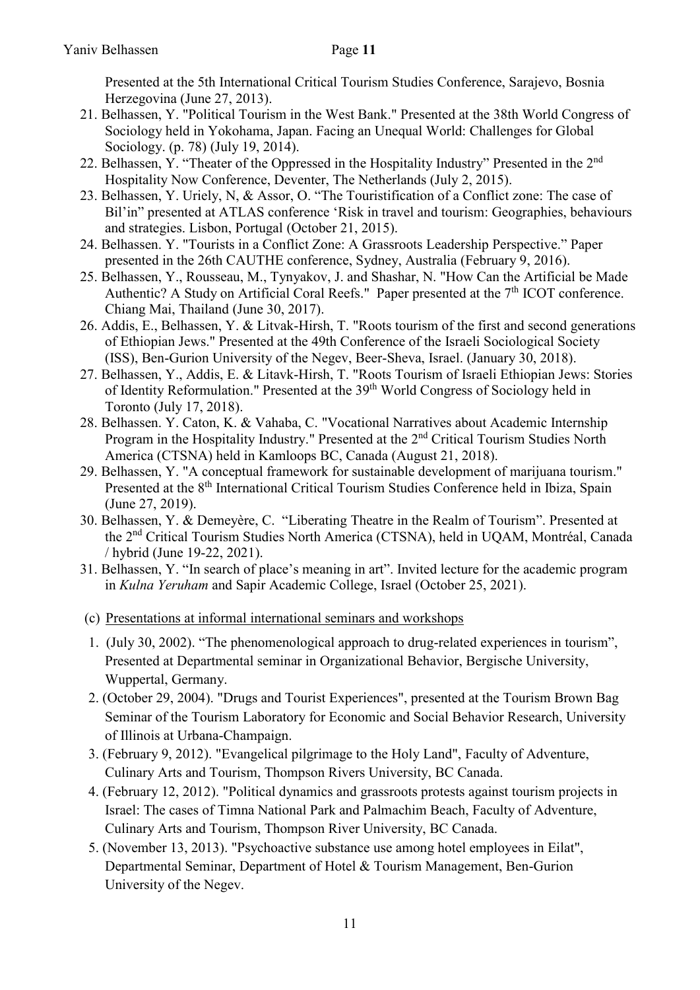Presented at the 5th International Critical Tourism Studies Conference, Sarajevo, Bosnia Herzegovina (June 27, 2013).

- 21. Belhassen, Y. "Political Tourism in the West Bank." Presented at the 38th World Congress of Sociology held in Yokohama, Japan. Facing an Unequal World: Challenges for Global Sociology. (p. 78) (July 19, 2014).
- 22. Belhassen, Y. "Theater of the Oppressed in the Hospitality Industry" Presented in the 2<sup>nd</sup> Hospitality Now Conference, Deventer, The Netherlands (July 2, 2015).
- 23. Belhassen, Y. Uriely, N, & Assor, O. "The Touristification of a Conflict zone: The case of Bil'in" presented at ATLAS conference 'Risk in travel and tourism: Geographies, behaviours and strategies. Lisbon, Portugal (October 21, 2015).
- 24. Belhassen. Y. "Tourists in a Conflict Zone: A Grassroots Leadership Perspective." Paper presented in the 26th CAUTHE conference, Sydney, Australia (February 9, 2016).
- 25. Belhassen, Y., Rousseau, M., Tynyakov, J. and Shashar, N. "How Can the Artificial be Made Authentic? A Study on Artificial Coral Reefs." Paper presented at the  $7<sup>th</sup>$  ICOT conference. Chiang Mai, Thailand (June 30, 2017).
- 26. Addis, E., Belhassen, Y. & Litvak-Hirsh, T. "Roots tourism of the first and second generations of Ethiopian Jews." Presented at the 49th Conference of the Israeli Sociological Society (ISS), Ben-Gurion University of the Negev, Beer-Sheva, Israel. (January 30, 2018).
- 27. Belhassen, Y., Addis, E. & Litavk-Hirsh, T. "Roots Tourism of Israeli Ethiopian Jews: Stories of Identity Reformulation." Presented at the 39<sup>th</sup> World Congress of Sociology held in Toronto (July 17, 2018).
- 28. Belhassen. Y. Caton, K. & Vahaba, C. "Vocational Narratives about Academic Internship Program in the Hospitality Industry." Presented at the 2<sup>nd</sup> Critical Tourism Studies North America (CTSNA) held in Kamloops BC, Canada (August 21, 2018).
- 29. Belhassen, Y. "A conceptual framework for sustainable development of marijuana tourism." Presented at the 8<sup>th</sup> International Critical Tourism Studies Conference held in Ibiza, Spain (June 27, 2019).
- 30. Belhassen, Y. & Demeyère, C. "Liberating Theatre in the Realm of Tourism". Presented at the 2nd Critical Tourism Studies North America (CTSNA), held in UQAM, Montréal, Canada / hybrid (June 19-22, 2021).
- 31. Belhassen, Y. "In search of place's meaning in art". Invited lecture for the academic program in *Kulna Yeruham* and Sapir Academic College, Israel (October 25, 2021).
- (c) Presentations at informal international seminars and workshops
- 1. (July 30, 2002). "The phenomenological approach to drug-related experiences in tourism", Presented at Departmental seminar in Organizational Behavior, Bergische University, Wuppertal, Germany.
- 2. (October 29, 2004). "Drugs and Tourist Experiences", presented at the Tourism Brown Bag Seminar of the Tourism Laboratory for Economic and Social Behavior Research, University of Illinois at Urbana-Champaign.
- 3. (February 9, 2012). "Evangelical pilgrimage to the Holy Land", Faculty of Adventure, Culinary Arts and Tourism, Thompson Rivers University, BC Canada.
- 4. (February 12, 2012). "Political dynamics and grassroots protests against tourism projects in Israel: The cases of Timna National Park and Palmachim Beach, Faculty of Adventure, Culinary Arts and Tourism, Thompson River University, BC Canada.
- 5. (November 13, 2013). "Psychoactive substance use among hotel employees in Eilat", Departmental Seminar, Department of Hotel & Tourism Management, Ben-Gurion University of the Negev.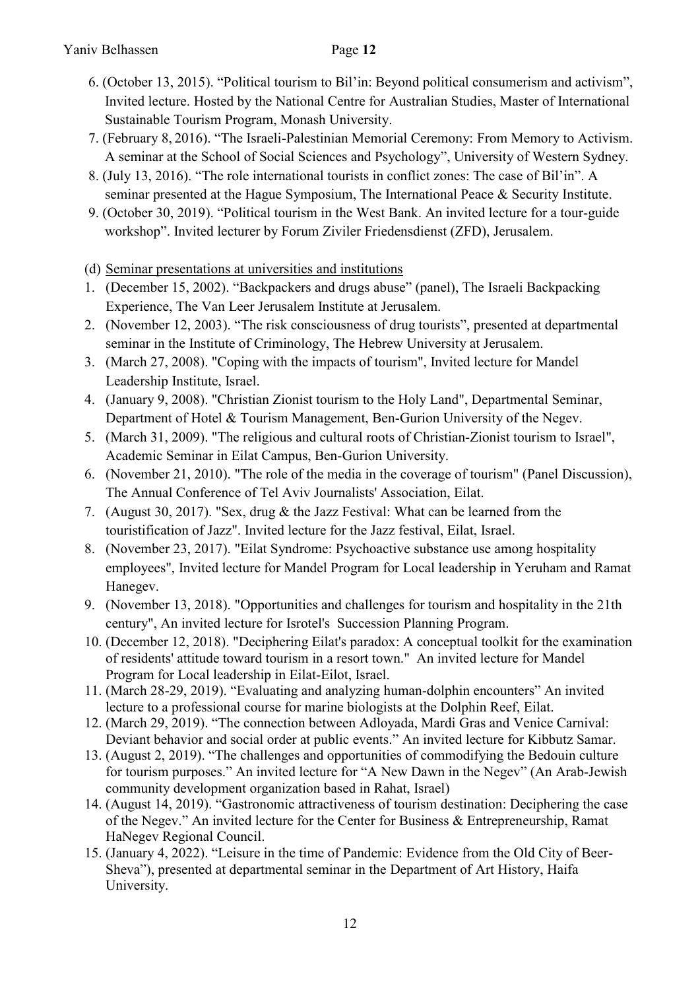- 6. (October 13, 2015). "Political tourism to Bil'in: Beyond political consumerism and activism", Invited lecture. Hosted by the National Centre for Australian Studies, Master of International Sustainable Tourism Program, Monash University.
- 7. (February 8, 2016). "The Israeli-Palestinian Memorial Ceremony: From Memory to Activism. A seminar at the School of Social Sciences and Psychology", University of Western Sydney.
- 8. (July 13, 2016). "The role international tourists in conflict zones: The case of Bil'in". A seminar presented at the Hague Symposium, The International Peace & Security Institute.
- 9. (October 30, 2019). "Political tourism in the West Bank. An invited lecture for a tour-guide workshop". Invited lecturer by Forum Ziviler Friedensdienst (ZFD), Jerusalem.
- (d) Seminar presentations at universities and institutions
- 1. (December 15, 2002). "Backpackers and drugs abuse" (panel), The Israeli Backpacking Experience, The Van Leer Jerusalem Institute at Jerusalem.
- 2. (November 12, 2003). "The risk consciousness of drug tourists", presented at departmental seminar in the Institute of Criminology, The Hebrew University at Jerusalem.
- 3. (March 27, 2008). "Coping with the impacts of tourism", Invited lecture for Mandel Leadership Institute, Israel.
- 4. (January 9, 2008). "Christian Zionist tourism to the Holy Land", Departmental Seminar, Department of Hotel & Tourism Management, Ben-Gurion University of the Negev.
- 5. (March 31, 2009). "The religious and cultural roots of Christian-Zionist tourism to Israel", Academic Seminar in Eilat Campus, Ben-Gurion University.
- 6. (November 21, 2010). "The role of the media in the coverage of tourism" (Panel Discussion), The Annual Conference of Tel Aviv Journalists' Association, Eilat.
- 7. (August 30, 2017). "Sex, drug & the Jazz Festival: What can be learned from the touristification of Jazz". Invited lecture for the Jazz festival, Eilat, Israel.
- 8. (November 23, 2017). "Eilat Syndrome: Psychoactive substance use among hospitality employees", Invited lecture for Mandel Program for Local leadership in Yeruham and Ramat Hanegev.
- 9. (November 13, 2018). "Opportunities and challenges for tourism and hospitality in the 21th century", An invited lecture for Isrotel's Succession Planning Program.
- 10. (December 12, 2018). "Deciphering Eilat's paradox: A conceptual toolkit for the examination of residents' attitude toward tourism in a resort town." An invited lecture for Mandel Program for Local leadership in Eilat-Eilot, Israel.
- 11. (March 28-29, 2019). "Evaluating and analyzing human-dolphin encounters" An invited lecture to a professional course for marine biologists at the Dolphin Reef, Eilat.
- 12. (March 29, 2019). "The connection between Adloyada, Mardi Gras and Venice Carnival: Deviant behavior and social order at public events." An invited lecture for Kibbutz Samar.
- 13. (August 2, 2019). "The challenges and opportunities of commodifying the Bedouin culture for tourism purposes." An invited lecture for "A New Dawn in the Negev" (An Arab-Jewish community development organization based in Rahat, Israel)
- 14. (August 14, 2019). "Gastronomic attractiveness of tourism destination: Deciphering the case of the Negev." An invited lecture for the Center for Business & Entrepreneurship, Ramat HaNegev Regional Council.
- 15. (January 4, 2022). "Leisure in the time of Pandemic: Evidence from the Old City of Beer-Sheva"), presented at departmental seminar in the Department of Art History, Haifa University.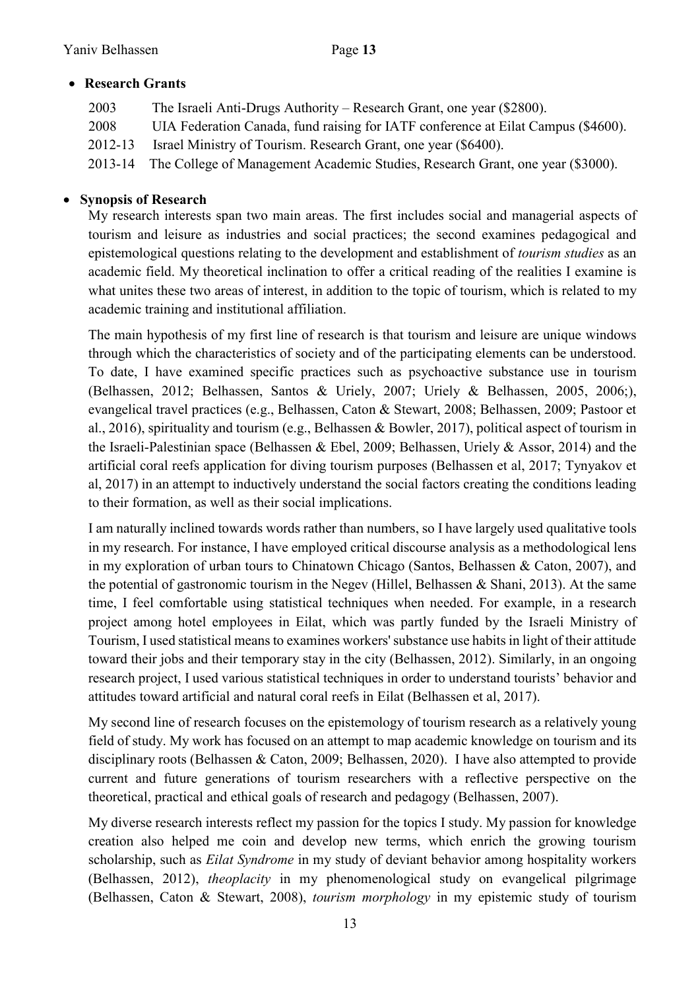# **Research Grants**

| 2003    | The Israeli Anti-Drugs Authority – Research Grant, one year (\$2800).             |
|---------|-----------------------------------------------------------------------------------|
| 2008    | UIA Federation Canada, fund raising for IATF conference at Eilat Campus (\$4600). |
| 2012-13 | Israel Ministry of Tourism. Research Grant, one year (\$6400).                    |
| 2013-14 | The College of Management Academic Studies, Research Grant, one year (\$3000).    |

# **Synopsis of Research**

My research interests span two main areas. The first includes social and managerial aspects of tourism and leisure as industries and social practices; the second examines pedagogical and epistemological questions relating to the development and establishment of *tourism studies* as an academic field. My theoretical inclination to offer a critical reading of the realities I examine is what unites these two areas of interest, in addition to the topic of tourism, which is related to my academic training and institutional affiliation.

The main hypothesis of my first line of research is that tourism and leisure are unique windows through which the characteristics of society and of the participating elements can be understood. To date, I have examined specific practices such as psychoactive substance use in tourism (Belhassen, 2012; Belhassen, Santos & Uriely, 2007; Uriely & Belhassen, 2005, 2006;), evangelical travel practices (e.g., Belhassen, Caton & Stewart, 2008; Belhassen, 2009; Pastoor et al., 2016), spirituality and tourism (e.g., Belhassen & Bowler, 2017), political aspect of tourism in the Israeli-Palestinian space (Belhassen & Ebel, 2009; Belhassen, Uriely & Assor, 2014) and the artificial coral reefs application for diving tourism purposes (Belhassen et al, 2017; Tynyakov et al, 2017) in an attempt to inductively understand the social factors creating the conditions leading to their formation, as well as their social implications.

I am naturally inclined towards words rather than numbers, so I have largely used qualitative tools in my research. For instance, I have employed critical discourse analysis as a methodological lens in my exploration of urban tours to Chinatown Chicago (Santos, Belhassen & Caton, 2007), and the potential of gastronomic tourism in the Negev (Hillel, Belhassen & Shani, 2013). At the same time, I feel comfortable using statistical techniques when needed. For example, in a research project among hotel employees in Eilat, which was partly funded by the Israeli Ministry of Tourism, I used statistical means to examines workers' substance use habits in light of their attitude toward their jobs and their temporary stay in the city (Belhassen, 2012). Similarly, in an ongoing research project, I used various statistical techniques in order to understand tourists' behavior and attitudes toward artificial and natural coral reefs in Eilat (Belhassen et al, 2017).

My second line of research focuses on the epistemology of tourism research as a relatively young field of study. My work has focused on an attempt to map academic knowledge on tourism and its disciplinary roots (Belhassen & Caton, 2009; Belhassen, 2020). I have also attempted to provide current and future generations of tourism researchers with a reflective perspective on the theoretical, practical and ethical goals of research and pedagogy (Belhassen, 2007).

My diverse research interests reflect my passion for the topics I study. My passion for knowledge creation also helped me coin and develop new terms, which enrich the growing tourism scholarship, such as *Eilat Syndrome* in my study of deviant behavior among hospitality workers (Belhassen, 2012), *theoplacity* in my phenomenological study on evangelical pilgrimage (Belhassen, Caton & Stewart, 2008), *tourism morphology* in my epistemic study of tourism